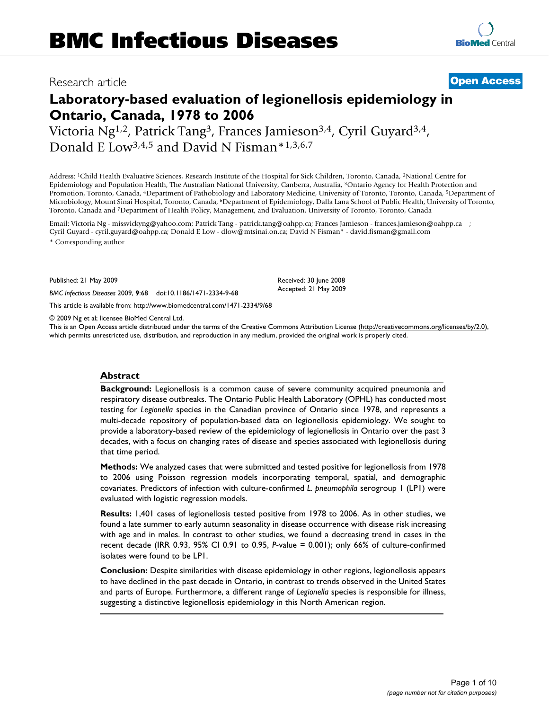# Research article **[Open Access](http://www.biomedcentral.com/info/about/charter/)**

# **Laboratory-based evaluation of legionellosis epidemiology in Ontario, Canada, 1978 to 2006**

Victoria Ng1,2, Patrick Tang3, Frances Jamieson3,4, Cyril Guyard3,4, Donald E Low3,4,5 and David N Fisman\*1,3,6,7

Address: 1Child Health Evaluative Sciences, Research Institute of the Hospital for Sick Children, Toronto, Canada, 2National Centre for Epidemiology and Population Health, The Australian National University, Canberra, Australia, 3Ontario Agency for Health Protection and Promotion, Toronto, Canada, <sup>4</sup>Department of Pathobiology and Laboratory Medicine, University of Toronto, Toronto, Canada, <sup>5</sup>Department of Microbiology, Mount Sinai Hospital, Toronto, Canada, 6Department of Epidemiology, Dalla Lana School of Public Health, University of Toronto, Toronto, Canada and 7Department of Health Policy, Management, and Evaluation, University of Toronto, Toronto, Canada

Email: Victoria Ng - missvickyng@yahoo.com; Patrick Tang - patrick.tang@oahpp.ca; Frances Jamieson - frances.jamieson@oahpp.ca ; Cyril Guyard - cyril.guyard@oahpp.ca; Donald E Low - dlow@mtsinai.on.ca; David N Fisman\* - david.fisman@gmail.com \* Corresponding author

Published: 21 May 2009

*BMC Infectious Diseases* 2009, **9**:68 doi:10.1186/1471-2334-9-68

[This article is available from: http://www.biomedcentral.com/1471-2334/9/68](http://www.biomedcentral.com/1471-2334/9/68)

© 2009 Ng et al; licensee BioMed Central Ltd.

This is an Open Access article distributed under the terms of the Creative Commons Attribution License [\(http://creativecommons.org/licenses/by/2.0\)](http://creativecommons.org/licenses/by/2.0), which permits unrestricted use, distribution, and reproduction in any medium, provided the original work is properly cited.

Received: 30 June 2008 Accepted: 21 May 2009

## **Abstract**

**Background:** Legionellosis is a common cause of severe community acquired pneumonia and respiratory disease outbreaks. The Ontario Public Health Laboratory (OPHL) has conducted most testing for *Legionella* species in the Canadian province of Ontario since 1978, and represents a multi-decade repository of population-based data on legionellosis epidemiology. We sought to provide a laboratory-based review of the epidemiology of legionellosis in Ontario over the past 3 decades, with a focus on changing rates of disease and species associated with legionellosis during that time period.

**Methods:** We analyzed cases that were submitted and tested positive for legionellosis from 1978 to 2006 using Poisson regression models incorporating temporal, spatial, and demographic covariates. Predictors of infection with culture-confirmed *L. pneumophila* serogroup 1 (LP1) were evaluated with logistic regression models.

**Results:** 1,401 cases of legionellosis tested positive from 1978 to 2006. As in other studies, we found a late summer to early autumn seasonality in disease occurrence with disease risk increasing with age and in males. In contrast to other studies, we found a decreasing trend in cases in the recent decade (IRR 0.93, 95% CI 0.91 to 0.95, *P*-value = 0.001); only 66% of culture-confirmed isolates were found to be LP1.

**Conclusion:** Despite similarities with disease epidemiology in other regions, legionellosis appears to have declined in the past decade in Ontario, in contrast to trends observed in the United States and parts of Europe. Furthermore, a different range of *Legionella* species is responsible for illness, suggesting a distinctive legionellosis epidemiology in this North American region.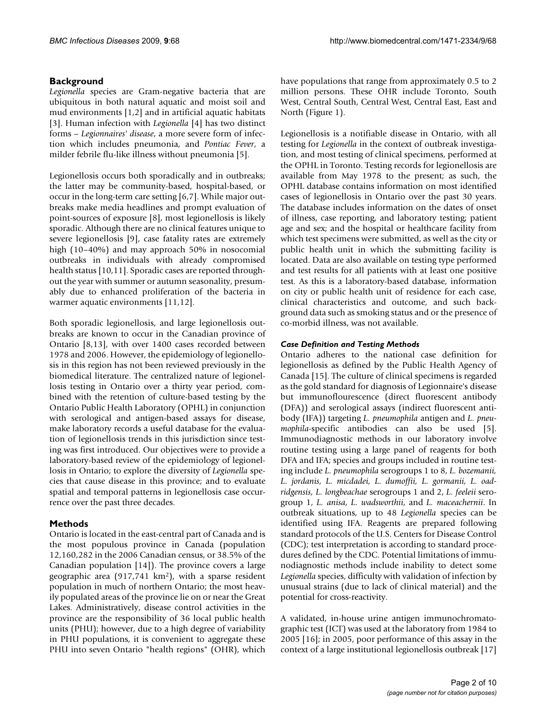# **Background**

*Legionella* species are Gram-negative bacteria that are ubiquitous in both natural aquatic and moist soil and mud environments [1,2] and in artificial aquatic habitats [3]. Human infection with *Legionella* [4] has two distinct forms – *Legionnaires' disease*, a more severe form of infection which includes pneumonia, and *Pontiac Fever*, a milder febrile flu-like illness without pneumonia [5].

Legionellosis occurs both sporadically and in outbreaks; the latter may be community-based, hospital-based, or occur in the long-term care setting [6,7]. While major outbreaks make media headlines and prompt evaluation of point-sources of exposure [8], most legionellosis is likely sporadic. Although there are no clinical features unique to severe legionellosis [9], case fatality rates are extremely high (10–40%) and may approach 50% in nosocomial outbreaks in individuals with already compromised health status [10,11]. Sporadic cases are reported throughout the year with summer or autumn seasonality, presumably due to enhanced proliferation of the bacteria in warmer aquatic environments [11,12].

Both sporadic legionellosis, and large legionellosis outbreaks are known to occur in the Canadian province of Ontario [8,13], with over 1400 cases recorded between 1978 and 2006. However, the epidemiology of legionellosis in this region has not been reviewed previously in the biomedical literature. The centralized nature of legionellosis testing in Ontario over a thirty year period, combined with the retention of culture-based testing by the Ontario Public Health Laboratory (OPHL) in conjunction with serological and antigen-based assays for disease, make laboratory records a useful database for the evaluation of legionellosis trends in this jurisdiction since testing was first introduced. Our objectives were to provide a laboratory-based review of the epidemiology of legionellosis in Ontario; to explore the diversity of *Legionella* species that cause disease in this province; and to evaluate spatial and temporal patterns in legionellosis case occurrence over the past three decades.

# **Methods**

Ontario is located in the east-central part of Canada and is the most populous province in Canada (population 12,160,282 in the 2006 Canadian census, or 38.5% of the Canadian population [14]). The province covers a large geographic area  $(917,741 \text{ km}^2)$ , with a sparse resident population in much of northern Ontario; the most heavily populated areas of the province lie on or near the Great Lakes. Administratively, disease control activities in the province are the responsibility of 36 local public health units (PHU); however, due to a high degree of variability in PHU populations, it is convenient to aggregate these PHU into seven Ontario "health regions" (OHR), which

have populations that range from approximately 0.5 to 2 million persons. These OHR include Toronto, South West, Central South, Central West, Central East, East and North (Figure 1).

Legionellosis is a notifiable disease in Ontario, with all testing for *Legionella* in the context of outbreak investigation, and most testing of clinical specimens, performed at the OPHL in Toronto. Testing records for legionellosis are available from May 1978 to the present; as such, the OPHL database contains information on most identified cases of legionellosis in Ontario over the past 30 years. The database includes information on the dates of onset of illness, case reporting, and laboratory testing; patient age and sex; and the hospital or healthcare facility from which test specimens were submitted, as well as the city or public health unit in which the submitting facility is located. Data are also available on testing type performed and test results for all patients with at least one positive test. As this is a laboratory-based database, information on city or public health unit of residence for each case, clinical characteristics and outcome, and such background data such as smoking status and or the presence of co-morbid illness, was not available.

# *Case Definition and Testing Methods*

Ontario adheres to the national case definition for legionellosis as defined by the Public Health Agency of Canada [15]. The culture of clinical specimens is regarded as the gold standard for diagnosis of Legionnaire's disease but immunoflourescence (direct fluorescent antibody (DFA)) and serological assays (indirect fluorescent antibody (IFA)) targeting *L. pneumophila* antigen and *L. pneumophila*-specific antibodies can also be used [5]. Immunodiagnostic methods in our laboratory involve routine testing using a large panel of reagents for both DFA and IFA; species and groups included in routine testing include *L. pneumophila* serogroups 1 to 8, *L. bozemanii, L. jordanis, L. micdadei, L. dumoffii, L. gormanii, L. oadridgensis, L. longbeachae* serogroups 1 and 2, *L. feeleii* serogroup 1, *L. anisa*, *L. wadsworthii*, and *L. maceachernii*. In outbreak situations, up to 48 *Legionella* species can be identified using IFA. Reagents are prepared following standard protocols of the U.S. Centers for Disease Control (CDC); test interpretation is according to standard procedures defined by the CDC. Potential limitations of immunodiagnostic methods include inability to detect some *Legionella* species, difficulty with validation of infection by unusual strains (due to lack of clinical material) and the potential for cross-reactivity.

A validated, in-house urine antigen immunochromatographic test (ICT) was used at the laboratory from 1984 to 2005 [16]; in 2005, poor performance of this assay in the context of a large institutional legionellosis outbreak [17]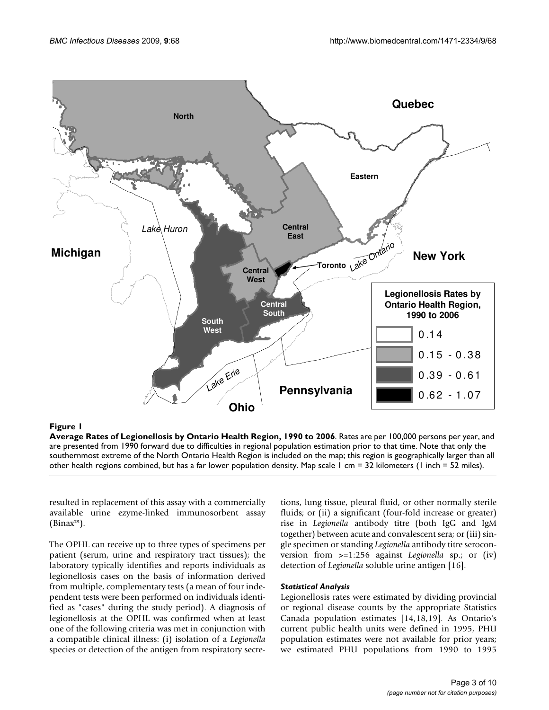

# **Figure 1**

**Average Rates of Legionellosis by Ontario Health Region, 1990 to 2006**. Rates are per 100,000 persons per year, and are presented from 1990 forward due to difficulties in regional population estimation prior to that time. Note that only the southernmost extreme of the North Ontario Health Region is included on the map; this region is geographically larger than all other health regions combined, but has a far lower population density. Map scale 1 cm = 32 kilometers (1 inch = 52 miles).

resulted in replacement of this assay with a commercially available urine ezyme-linked immunosorbent assay (Binax™).

The OPHL can receive up to three types of specimens per patient (serum, urine and respiratory tract tissues); the laboratory typically identifies and reports individuals as legionellosis cases on the basis of information derived from multiple, complementary tests (a mean of four independent tests were been performed on individuals identified as "cases" during the study period). A diagnosis of legionellosis at the OPHL was confirmed when at least one of the following criteria was met in conjunction with a compatible clinical illness: (i) isolation of a *Legionella* species or detection of the antigen from respiratory secretions, lung tissue, pleural fluid, or other normally sterile fluids; or (ii) a significant (four-fold increase or greater) rise in *Legionella* antibody titre (both IgG and IgM together) between acute and convalescent sera; or (iii) single specimen or standing *Legionella* antibody titre seroconversion from >=1:256 against *Legionella* sp.; or (iv) detection of *Legionella* soluble urine antigen [16].

## *Statistical Analysis*

Legionellosis rates were estimated by dividing provincial or regional disease counts by the appropriate Statistics Canada population estimates [14,18,19]. As Ontario's current public health units were defined in 1995, PHU population estimates were not available for prior years; we estimated PHU populations from 1990 to 1995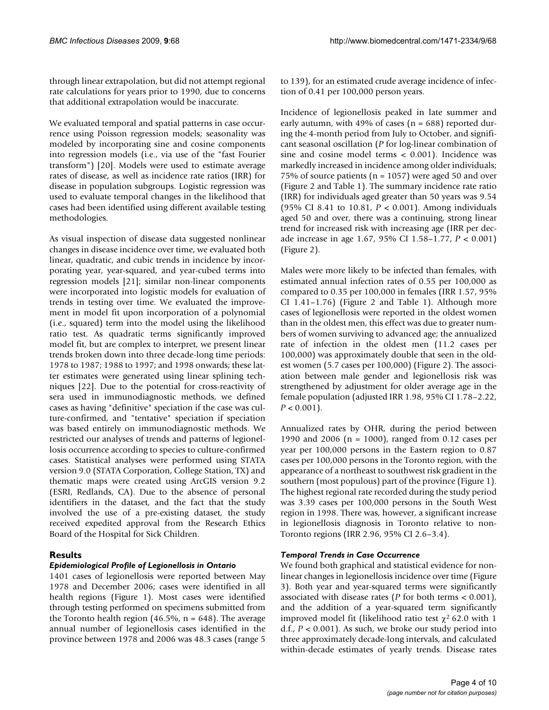through linear extrapolation, but did not attempt regional rate calculations for years prior to 1990, due to concerns that additional extrapolation would be inaccurate.

We evaluated temporal and spatial patterns in case occurrence using Poisson regression models; seasonality was modeled by incorporating sine and cosine components into regression models (i.e., via use of the "fast Fourier transform") [20]. Models were used to estimate average rates of disease, as well as incidence rate ratios (IRR) for disease in population subgroups. Logistic regression was used to evaluate temporal changes in the likelihood that cases had been identified using different available testing methodologies.

As visual inspection of disease data suggested nonlinear changes in disease incidence over time, we evaluated both linear, quadratic, and cubic trends in incidence by incorporating year, year-squared, and year-cubed terms into regression models [21]; similar non-linear components were incorporated into logistic models for evaluation of trends in testing over time. We evaluated the improvement in model fit upon incorporation of a polynomial (i.e., squared) term into the model using the likelihood ratio test. As quadratic terms significantly improved model fit, but are complex to interpret, we present linear trends broken down into three decade-long time periods: 1978 to 1987; 1988 to 1997; and 1998 onwards; these latter estimates were generated using linear splining techniques [22]. Due to the potential for cross-reactivity of sera used in immunodiagnostic methods, we defined cases as having "definitive" speciation if the case was culture-confirmed, and "tentative" speciation if speciation was based entirely on immunodiagnostic methods. We restricted our analyses of trends and patterns of legionellosis occurrence according to species to culture-confirmed cases. Statistical analyses were performed using STATA version 9.0 (STATA Corporation, College Station, TX) and thematic maps were created using ArcGIS version 9.2 (ESRI, Redlands, CA). Due to the absence of personal identifiers in the dataset, and the fact that the study involved the use of a pre-existing dataset, the study received expedited approval from the Research Ethics Board of the Hospital for Sick Children.

# **Results**

# *Epidemiological Profile of Legionellosis in Ontario*

1401 cases of legionellosis were reported between May 1978 and December 2006; cases were identified in all health regions (Figure 1). Most cases were identified through testing performed on specimens submitted from the Toronto health region (46.5%,  $n = 648$ ). The average annual number of legionellosis cases identified in the province between 1978 and 2006 was 48.3 cases (range 5

to 139), for an estimated crude average incidence of infection of 0.41 per 100,000 person years.

Incidence of legionellosis peaked in late summer and early autumn, with 49% of cases ( $n = 688$ ) reported during the 4-month period from July to October, and significant seasonal oscillation (*P* for log-linear combination of sine and cosine model terms < 0.001). Incidence was markedly increased in incidence among older individuals; 75% of source patients (n = 1057) were aged 50 and over (Figure 2 and Table 1). The summary incidence rate ratio (IRR) for individuals aged greater than 50 years was 9.54 (95% CI 8.41 to 10.81, *P* < 0.001). Among individuals aged 50 and over, there was a continuing, strong linear trend for increased risk with increasing age (IRR per decade increase in age 1.67, 95% CI 1.58–1.77, *P* < 0.001) (Figure 2).

Males were more likely to be infected than females, with estimated annual infection rates of 0.55 per 100,000 as compared to 0.35 per 100,000 in females (IRR 1.57, 95% CI 1.41–1.76) (Figure 2 and Table 1). Although more cases of legionellosis were reported in the oldest women than in the oldest men, this effect was due to greater numbers of women surviving to advanced age; the annualized rate of infection in the oldest men (11.2 cases per 100,000) was approximately double that seen in the oldest women (5.7 cases per 100,000) (Figure 2). The association between male gender and legionellosis risk was strengthened by adjustment for older average age in the female population (adjusted IRR 1.98, 95% CI 1.78–2.22,  $P < 0.001$ ).

Annualized rates by OHR, during the period between 1990 and 2006 (n = 1000), ranged from 0.12 cases per year per 100,000 persons in the Eastern region to 0.87 cases per 100,000 persons in the Toronto region, with the appearance of a northeast to southwest risk gradient in the southern (most populous) part of the province (Figure 1). The highest regional rate recorded during the study period was 3.39 cases per 100,000 persons in the South West region in 1998. There was, however, a significant increase in legionellosis diagnosis in Toronto relative to non-Toronto regions (IRR 2.96, 95% CI 2.6–3.4).

# *Temporal Trends in Case Occurrence*

We found both graphical and statistical evidence for nonlinear changes in legionellosis incidence over time (Figure 3). Both year and year-squared terms were significantly associated with disease rates (*P* for both terms < 0.001), and the addition of a year-squared term significantly improved model fit (likelihood ratio test  $\chi^2$  62.0 with 1 d.f.,  $P < 0.001$ ). As such, we broke our study period into three approximately decade-long intervals, and calculated within-decade estimates of yearly trends. Disease rates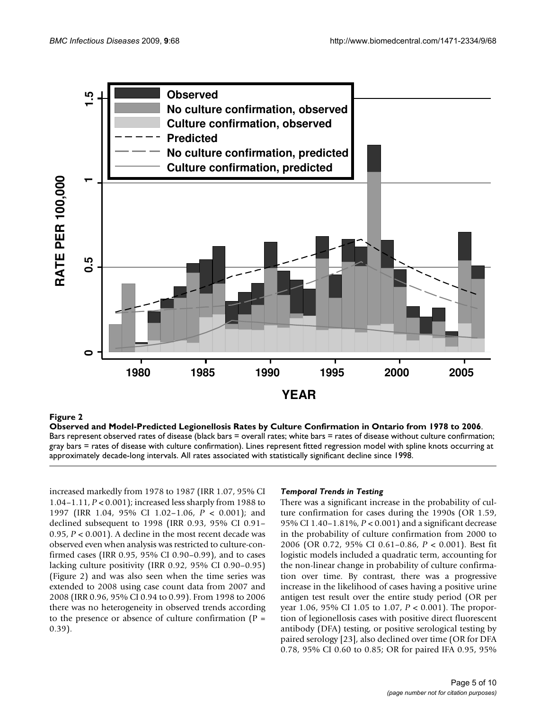

## Observed and Model-Predicted Legi **Figure 2** onellosis Rates by Culture Confirmation in Ontario from 1978 to 2006

**Observed and Model-Predicted Legionellosis Rates by Culture Confirmation in Ontario from 1978 to 2006**. Bars represent observed rates of disease (black bars = overall rates; white bars = rates of disease without culture confirmation; gray bars = rates of disease with culture confirmation). Lines represent fitted regression model with spline knots occurring at approximately decade-long intervals. All rates associated with statistically significant decline since 1998.

increased markedly from 1978 to 1987 (IRR 1.07, 95% CI 1.04–1.11, *P* < 0.001); increased less sharply from 1988 to 1997 (IRR 1.04, 95% CI 1.02–1.06, *P* < 0.001); and declined subsequent to 1998 (IRR 0.93, 95% CI 0.91– 0.95, *P* < 0.001). A decline in the most recent decade was observed even when analysis was restricted to culture-confirmed cases (IRR 0.95, 95% CI 0.90–0.99), and to cases lacking culture positivity (IRR 0.92, 95% CI 0.90–0.95) (Figure 2) and was also seen when the time series was extended to 2008 using case count data from 2007 and 2008 (IRR 0.96, 95% CI 0.94 to 0.99). From 1998 to 2006 there was no heterogeneity in observed trends according to the presence or absence of culture confirmation  $(P =$ 0.39).

# *Temporal Trends in Testing*

There was a significant increase in the probability of culture confirmation for cases during the 1990s (OR 1.59, 95% CI 1.40–1.81%, *P* < 0.001) and a significant decrease in the probability of culture confirmation from 2000 to 2006 (OR 0.72, 95% CI 0.61–0.86, *P* < 0.001). Best fit logistic models included a quadratic term, accounting for the non-linear change in probability of culture confirmation over time. By contrast, there was a progressive increase in the likelihood of cases having a positive urine antigen test result over the entire study period (OR per year 1.06, 95% CI 1.05 to 1.07, *P* < 0.001). The proportion of legionellosis cases with positive direct fluorescent antibody (DFA) testing, or positive serological testing by paired serology [23], also declined over time (OR for DFA 0.78, 95% CI 0.60 to 0.85; OR for paired IFA 0.95, 95%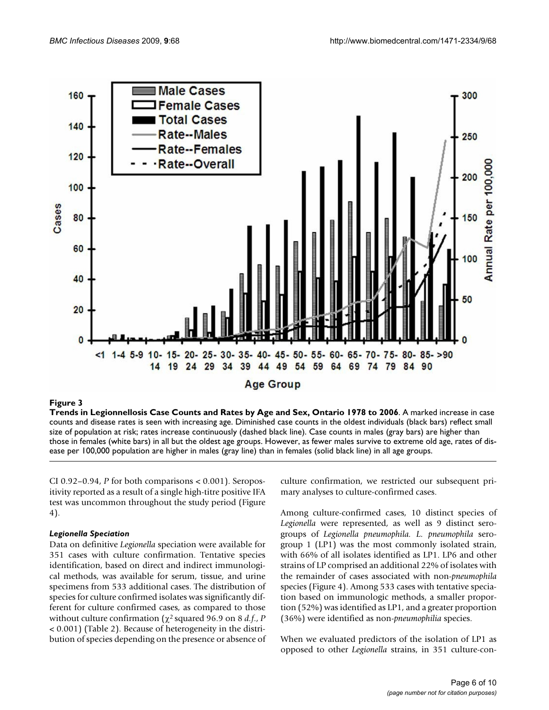

## Trends in Legionnellosis Case Counts and Sex, Ontario 1978 to 2006 to 2006 to 2006 to 2006 to 2006 to 2006 to 2006 to 2006 to 2006 to 2006 to 2006 to 2006 to 2006 to 2006 to 2006 to 2006 to 2006 to 2006 to 2006 to 2006 to

**Trends in Legionnellosis Case Counts and Rates by Age and Sex, Ontario 1978 to 2006**. A marked increase in case counts and disease rates is seen with increasing age. Diminished case counts in the oldest individuals (black bars) reflect small size of population at risk; rates increase continuously (dashed black line). Case counts in males (gray bars) are higher than those in females (white bars) in all but the oldest age groups. However, as fewer males survive to extreme old age, rates of disease per 100,000 population are higher in males (gray line) than in females (solid black line) in all age groups.

CI 0.92–0.94, *P* for both comparisons < 0.001). Seropositivity reported as a result of a single high-titre positive IFA test was uncommon throughout the study period (Figure 4).

## *Legionella Speciation*

Data on definitive *Legionella* speciation were available for 351 cases with culture confirmation. Tentative species identification, based on direct and indirect immunological methods, was available for serum, tissue, and urine specimens from 533 additional cases. The distribution of species for culture confirmed isolates was significantly different for culture confirmed cases, as compared to those without culture confirmation (χ2 squared 96.9 on 8 *d.f*., *P* < 0.001) (Table 2). Because of heterogeneity in the distribution of species depending on the presence or absence of culture confirmation, we restricted our subsequent primary analyses to culture-confirmed cases.

Among culture-confirmed cases, 10 distinct species of *Legionella* were represented, as well as 9 distinct serogroups of *Legionella pneumophila. L. pneumophila* serogroup 1 (LP1) was the most commonly isolated strain, with 66% of all isolates identified as LP1. LP6 and other strains of LP comprised an additional 22% of isolates with the remainder of cases associated with non-*pneumophila* species (Figure 4). Among 533 cases with tentative speciation based on immunologic methods, a smaller proportion (52%) was identified as LP1, and a greater proportion (36%) were identified as non-*pneumophilia* species.

When we evaluated predictors of the isolation of LP1 as opposed to other *Legionella* strains, in 351 culture-con-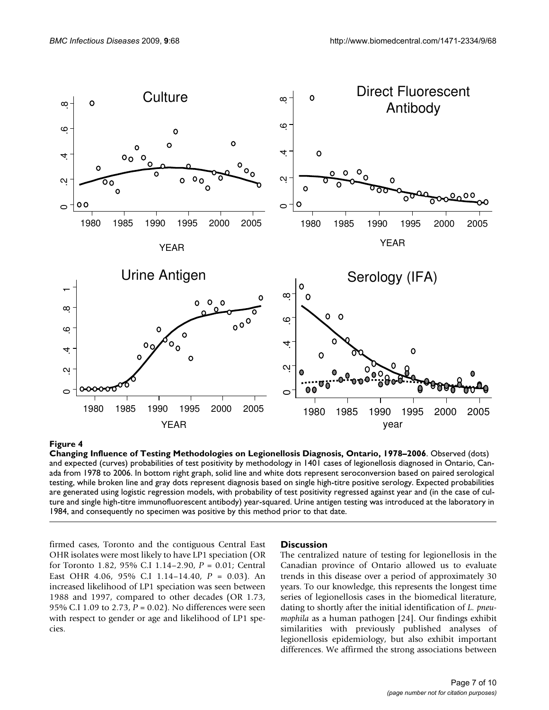

#### Changing Influence of Testing Methodologie **Figure 4** s on Legionellosis Diagnosis, Ontario, 1978–2006

**Changing Influence of Testing Methodologies on Legionellosis Diagnosis, Ontario, 1978–2006**. Observed (dots) and expected (curves) probabilities of test positivity by methodology in 1401 cases of legionellosis diagnosed in Ontario, Canada from 1978 to 2006. In bottom right graph, solid line and white dots represent seroconversion based on paired serological testing, while broken line and gray dots represent diagnosis based on single high-titre positive serology. Expected probabilities are generated using logistic regression models, with probability of test positivity regressed against year and (in the case of culture and single high-titre immunofluorescent antibody) year-squared. Urine antigen testing was introduced at the laboratory in 1984, and consequently no specimen was positive by this method prior to that date.

firmed cases, Toronto and the contiguous Central East OHR isolates were most likely to have LP1 speciation (OR for Toronto 1.82, 95% C.I 1.14–2.90, *P* = 0.01; Central East OHR 4.06, 95% C.I 1.14–14.40, *P* = 0.03). An increased likelihood of LP1 speciation was seen between 1988 and 1997, compared to other decades (OR 1.73, 95% C.I 1.09 to 2.73, *P* = 0.02). No differences were seen with respect to gender or age and likelihood of LP1 species.

#### **Discussion**

The centralized nature of testing for legionellosis in the Canadian province of Ontario allowed us to evaluate trends in this disease over a period of approximately 30 years. To our knowledge, this represents the longest time series of legionellosis cases in the biomedical literature, dating to shortly after the initial identification of *L. pneumophila* as a human pathogen [24]. Our findings exhibit similarities with previously published analyses of legionellosis epidemiology, but also exhibit important differences. We affirmed the strong associations between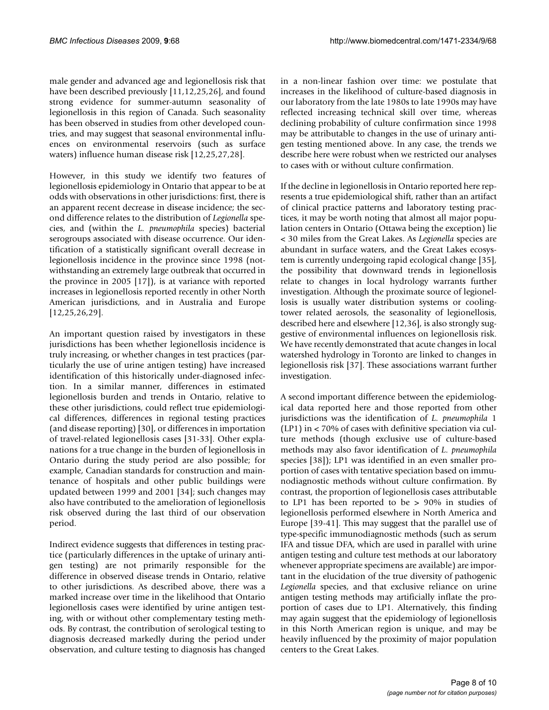male gender and advanced age and legionellosis risk that have been described previously [11,12,25,26], and found strong evidence for summer-autumn seasonality of legionellosis in this region of Canada. Such seasonality has been observed in studies from other developed countries, and may suggest that seasonal environmental influences on environmental reservoirs (such as surface waters) influence human disease risk [12,25,27,28].

However, in this study we identify two features of legionellosis epidemiology in Ontario that appear to be at odds with observations in other jurisdictions: first, there is an apparent recent decrease in disease incidence; the second difference relates to the distribution of *Legionella* species, and (within the *L. pneumophila* species) bacterial serogroups associated with disease occurrence. Our identification of a statistically significant overall decrease in legionellosis incidence in the province since 1998 (notwithstanding an extremely large outbreak that occurred in the province in 2005 [17]), is at variance with reported increases in legionellosis reported recently in other North American jurisdictions, and in Australia and Europe [12,25,26,29].

An important question raised by investigators in these jurisdictions has been whether legionellosis incidence is truly increasing, or whether changes in test practices (particularly the use of urine antigen testing) have increased identification of this historically under-diagnosed infection. In a similar manner, differences in estimated legionellosis burden and trends in Ontario, relative to these other jurisdictions, could reflect true epidemiological differences, differences in regional testing practices (and disease reporting) [30], or differences in importation of travel-related legionellosis cases [31-33]. Other explanations for a true change in the burden of legionellosis in Ontario during the study period are also possible; for example, Canadian standards for construction and maintenance of hospitals and other public buildings were updated between 1999 and 2001 [34]; such changes may also have contributed to the amelioration of legionellosis risk observed during the last third of our observation period.

Indirect evidence suggests that differences in testing practice (particularly differences in the uptake of urinary antigen testing) are not primarily responsible for the difference in observed disease trends in Ontario, relative to other jurisdictions. As described above, there was a marked increase over time in the likelihood that Ontario legionellosis cases were identified by urine antigen testing, with or without other complementary testing methods. By contrast, the contribution of serological testing to diagnosis decreased markedly during the period under observation, and culture testing to diagnosis has changed

in a non-linear fashion over time: we postulate that increases in the likelihood of culture-based diagnosis in our laboratory from the late 1980s to late 1990s may have reflected increasing technical skill over time, whereas declining probability of culture confirmation since 1998 may be attributable to changes in the use of urinary antigen testing mentioned above. In any case, the trends we describe here were robust when we restricted our analyses to cases with or without culture confirmation.

If the decline in legionellosis in Ontario reported here represents a true epidemiological shift, rather than an artifact of clinical practice patterns and laboratory testing practices, it may be worth noting that almost all major population centers in Ontario (Ottawa being the exception) lie < 30 miles from the Great Lakes. As *Legionella* species are abundant in surface waters, and the Great Lakes ecosystem is currently undergoing rapid ecological change [35], the possibility that downward trends in legionellosis relate to changes in local hydrology warrants further investigation. Although the proximate source of legionellosis is usually water distribution systems or coolingtower related aerosols, the seasonality of legionellosis, described here and elsewhere [12,36], is also strongly suggestive of environmental influences on legionellosis risk. We have recently demonstrated that acute changes in local watershed hydrology in Toronto are linked to changes in legionellosis risk [37]. These associations warrant further investigation.

A second important difference between the epidemiological data reported here and those reported from other jurisdictions was the identification of *L. pneumophila* 1 (LP1) in < 70% of cases with definitive speciation via culture methods (though exclusive use of culture-based methods may also favor identification of *L. pneumophila* species [38]); LP1 was identified in an even smaller proportion of cases with tentative speciation based on immunodiagnostic methods without culture confirmation. By contrast, the proportion of legionellosis cases attributable to LP1 has been reported to be > 90% in studies of legionellosis performed elsewhere in North America and Europe [39-41]. This may suggest that the parallel use of type-specific immunodiagnostic methods (such as serum IFA and tissue DFA, which are used in parallel with urine antigen testing and culture test methods at our laboratory whenever appropriate specimens are available) are important in the elucidation of the true diversity of pathogenic *Legionella* species, and that exclusive reliance on urine antigen testing methods may artificially inflate the proportion of cases due to LP1. Alternatively, this finding may again suggest that the epidemiology of legionellosis in this North American region is unique, and may be heavily influenced by the proximity of major population centers to the Great Lakes.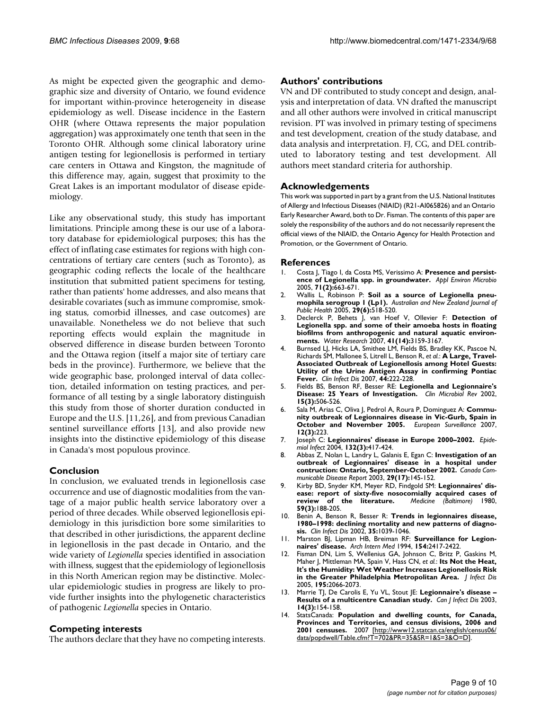As might be expected given the geographic and demographic size and diversity of Ontario, we found evidence for important within-province heterogeneity in disease epidemiology as well. Disease incidence in the Eastern OHR (where Ottawa represents the major population aggregation) was approximately one tenth that seen in the Toronto OHR. Although some clinical laboratory urine antigen testing for legionellosis is performed in tertiary care centers in Ottawa and Kingston, the magnitude of this difference may, again, suggest that proximity to the Great Lakes is an important modulator of disease epidemiology.

Like any observational study, this study has important limitations. Principle among these is our use of a laboratory database for epidemiological purposes; this has the effect of inflating case estimates for regions with high concentrations of tertiary care centers (such as Toronto), as geographic coding reflects the locale of the healthcare institution that submitted patient specimens for testing, rather than patients' home addresses, and also means that desirable covariates (such as immune compromise, smoking status, comorbid illnesses, and case outcomes) are unavailable. Nonetheless we do not believe that such reporting effects would explain the magnitude in observed difference in disease burden between Toronto and the Ottawa region (itself a major site of tertiary care beds in the province). Furthermore, we believe that the wide geographic base, prolonged interval of data collection, detailed information on testing practices, and performance of all testing by a single laboratory distinguish this study from those of shorter duration conducted in Europe and the U.S. [11,26], and from previous Canadian sentinel surveillance efforts [13], and also provide new insights into the distinctive epidemiology of this disease in Canada's most populous province.

## **Conclusion**

In conclusion, we evaluated trends in legionellosis case occurrence and use of diagnostic modalities from the vantage of a major public health service laboratory over a period of three decades. While observed legionellosis epidemiology in this jurisdiction bore some similarities to that described in other jurisdictions, the apparent decline in legionellosis in the past decade in Ontario, and the wide variety of *Legionella* species identified in association with illness, suggest that the epidemiology of legionellosis in this North American region may be distinctive. Molecular epidemiologic studies in progress are likely to provide further insights into the phylogenetic characteristics of pathogenic *Legionella* species in Ontario.

# **Competing interests**

The authors declare that they have no competing interests.

## **Authors' contributions**

VN and DF contributed to study concept and design, analysis and interpretation of data. VN drafted the manuscript and all other authors were involved in critical manuscript revision. PT was involved in primary testing of specimens and test development, creation of the study database, and data analysis and interpretation. FJ, CG, and DEL contributed to laboratory testing and test development. All authors meet standard criteria for authorship.

## **Acknowledgements**

This work was supported in part by a grant from the U.S. National Institutes of Allergy and Infectious Diseases (NIAID) (R21-AI065826) and an Ontario Early Researcher Award, both to Dr. Fisman. The contents of this paper are solely the responsibility of the authors and do not necessarily represent the official views of the NIAID, the Ontario Agency for Health Protection and Promotion, or the Government of Ontario.

#### **References**

- Costa J, Tiago I, da Costa MS, Verissimo A: Presence and persist**ence of Legionella spp. in groundwater.** *Appl Environ Microbio* 2005, **71(2):**663-671.
- 2. Wallis L, Robinson P: **Soil as a source of Legionella pneumophila serogroup 1 (Lp1).** *Australian and New Zealand Journal of Public Health* 2005, **29(6):**518-520.
- 3. Declerck P, Behets J, van Hoef V, Ollevier F: **[Detection of](http://www.ncbi.nlm.nih.gov/entrez/query.fcgi?cmd=Retrieve&db=PubMed&dopt=Abstract&list_uids=17544473) [Legionella spp. and some of their amoeba hosts in floating](http://www.ncbi.nlm.nih.gov/entrez/query.fcgi?cmd=Retrieve&db=PubMed&dopt=Abstract&list_uids=17544473) biofilms from anthropogenic and natural aquatic environ[ments.](http://www.ncbi.nlm.nih.gov/entrez/query.fcgi?cmd=Retrieve&db=PubMed&dopt=Abstract&list_uids=17544473)** *Water Research* 2007, **41(14):**3159-3167.
- 4. Burnsed LJ, Hicks LA, Smithee LM, Fields BS, Bradley KK, Pascoe N, Richards SM, Mallonee S, Litrell L, Benson R, *et al.*: **[A Large, Travel-](http://www.ncbi.nlm.nih.gov/entrez/query.fcgi?cmd=Retrieve&db=PubMed&dopt=Abstract&list_uids=17173221)[Associated Outbreak of Legionellosis among Hotel Guests:](http://www.ncbi.nlm.nih.gov/entrez/query.fcgi?cmd=Retrieve&db=PubMed&dopt=Abstract&list_uids=17173221) Utility of the Urine Antigen Assay in confirming Pontiac [Fever.](http://www.ncbi.nlm.nih.gov/entrez/query.fcgi?cmd=Retrieve&db=PubMed&dopt=Abstract&list_uids=17173221)** *Clin Infect Dis* 2007, **44:**222-228.
- 5. Fields BS, Benson RF, Besser RE: **[Legionella and Legionnaire's](http://www.ncbi.nlm.nih.gov/entrez/query.fcgi?cmd=Retrieve&db=PubMed&dopt=Abstract&list_uids=12097254) [Disease: 25 Years of Investigation.](http://www.ncbi.nlm.nih.gov/entrez/query.fcgi?cmd=Retrieve&db=PubMed&dopt=Abstract&list_uids=12097254)** *Clin Microbiol Rev* 2002, **15(3):**506-526.
- 6. Sala M, Arias C, Oliva J, Pedrol A, Roura P, Dominguez A: **Community outbreak of Legionnaires disease in Vic-Gurb, Spain in October and November 2005.** *European Surveillance* 2007, **12(3):**223.
- 7. Joseph C: **[Legionnaires' disease in Europe 2000–2002.](http://www.ncbi.nlm.nih.gov/entrez/query.fcgi?cmd=Retrieve&db=PubMed&dopt=Abstract&list_uids=15188711)** *Epidemiol Infect* 2004, **132(3):**417-424.
- 8. Abbas Z, Nolan L, Landry L, Galanis E, Egan C: **[Investigation of an](http://www.ncbi.nlm.nih.gov/entrez/query.fcgi?cmd=Retrieve&db=PubMed&dopt=Abstract&list_uids=14526691) [outbreak of Legionnaires' disease in a hospital under](http://www.ncbi.nlm.nih.gov/entrez/query.fcgi?cmd=Retrieve&db=PubMed&dopt=Abstract&list_uids=14526691) [contruction: Ontario, September-October 2002.](http://www.ncbi.nlm.nih.gov/entrez/query.fcgi?cmd=Retrieve&db=PubMed&dopt=Abstract&list_uids=14526691)** *Canada Communicable Disease Report* 2003, **29(17):**145-152.
- 9. Kirby BD, Snyder KM, Meyer RD, Findgold SM: **[Legionnaires' dis](http://www.ncbi.nlm.nih.gov/entrez/query.fcgi?cmd=Retrieve&db=PubMed&dopt=Abstract&list_uids=6997673)[ease: report of sixty-five nosocomially acquired cases of](http://www.ncbi.nlm.nih.gov/entrez/query.fcgi?cmd=Retrieve&db=PubMed&dopt=Abstract&list_uids=6997673) [review of the literature.](http://www.ncbi.nlm.nih.gov/entrez/query.fcgi?cmd=Retrieve&db=PubMed&dopt=Abstract&list_uids=6997673)** *Medicine (Baltimore)* 1980, **59(3):**188-205.
- 10. Benin A, Benson R, Besser R: **[Trends in legionnaires disease,](http://www.ncbi.nlm.nih.gov/entrez/query.fcgi?cmd=Retrieve&db=PubMed&dopt=Abstract&list_uids=12384836) [1980–1998: declining mortality and new patterns of diagno](http://www.ncbi.nlm.nih.gov/entrez/query.fcgi?cmd=Retrieve&db=PubMed&dopt=Abstract&list_uids=12384836)[sis.](http://www.ncbi.nlm.nih.gov/entrez/query.fcgi?cmd=Retrieve&db=PubMed&dopt=Abstract&list_uids=12384836)** *Clin Infect Dis* 2002, **35:**1039-1046.
- 11. Marston BJ, Lipman HB, Breiman RF: **[Surveillance for Legion](http://www.ncbi.nlm.nih.gov/entrez/query.fcgi?cmd=Retrieve&db=PubMed&dopt=Abstract&list_uids=7979837)[naires' disease.](http://www.ncbi.nlm.nih.gov/entrez/query.fcgi?cmd=Retrieve&db=PubMed&dopt=Abstract&list_uids=7979837)** *Arch Intern Med* 1994, **154:**2417-2422.
- 12. Fisman DN, Lim S, Wellenius GA, Johnson C, Britz P, Gaskins M, Maher J, Mittleman MA, Spain V, Hass CN, *et al.*: **Its Not the Heat, It's the Humidity: Wet Weather Increases Legionellosis Risk in the Greater Philadelphia Metropolitan Area.** *J Infect Dis* 2005, **195:**2066-2073.
- 13. Marrie TJ, De Carolis E, Yu VL, Stout JE: **[Legionnaire's disease –](http://www.ncbi.nlm.nih.gov/entrez/query.fcgi?cmd=Retrieve&db=PubMed&dopt=Abstract&list_uids=18159449) [Results of a multicentre Canadian study.](http://www.ncbi.nlm.nih.gov/entrez/query.fcgi?cmd=Retrieve&db=PubMed&dopt=Abstract&list_uids=18159449)** *Can J Infect Dis* 2003, **14(3):**154-158.
- 14. StatsCanada: **Population and dwelling counts, for Canada, Provinces and Territories, and census divisions, 2006 and 2001 censuses.** 2007 [[http://www12.statcan.ca/english/census06/](http://www12.statcan.ca/english/census06/data/popdwell/Table.cfm?T=702&PR=35&SR=1&S=3&O=D) [data/popdwell/Table.cfm?T=702&PR=35&SR=1&S=3&O=D](http://www12.statcan.ca/english/census06/data/popdwell/Table.cfm?T=702&PR=35&SR=1&S=3&O=D)].